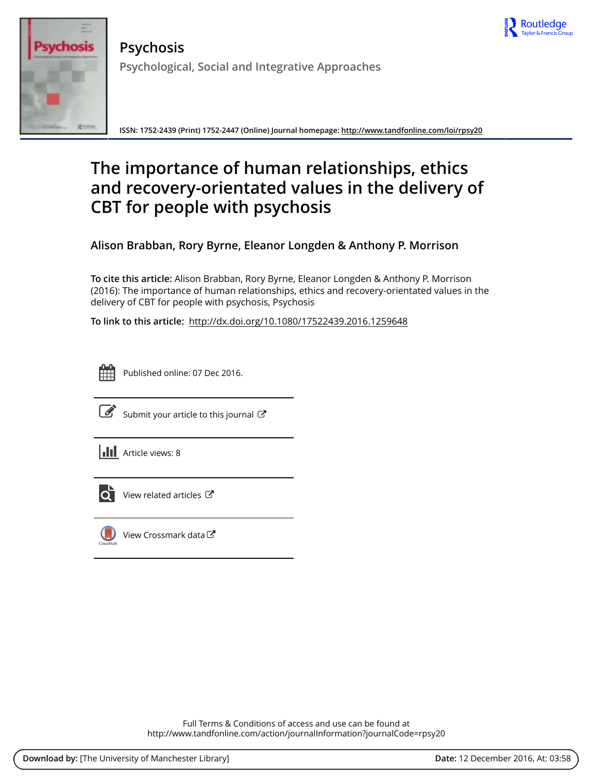



**Psychosis Psychological, Social and Integrative Approaches**

**ISSN: 1752-2439 (Print) 1752-2447 (Online) Journal homepage:<http://www.tandfonline.com/loi/rpsy20>**

# **The importance of human relationships, ethics and recovery-orientated values in the delivery of CBT for people with psychosis**

**Alison Brabban, Rory Byrne, Eleanor Longden & Anthony P. Morrison**

**To cite this article:** Alison Brabban, Rory Byrne, Eleanor Longden & Anthony P. Morrison (2016): The importance of human relationships, ethics and recovery-orientated values in the delivery of CBT for people with psychosis, Psychosis

**To link to this article:** <http://dx.doi.org/10.1080/17522439.2016.1259648>



Published online: 07 Dec 2016.



[Submit your article to this journal](http://www.tandfonline.com/action/authorSubmission?journalCode=rpsy20&show=instructions)  $\mathbb{Z}$ 





 $\overrightarrow{Q}$  [View related articles](http://www.tandfonline.com/doi/mlt/10.1080/17522439.2016.1259648)  $\overrightarrow{C}$ 



[View Crossmark data](http://crossmark.crossref.org/dialog/?doi=10.1080/17522439.2016.1259648&domain=pdf&date_stamp=2016-12-07)

Full Terms & Conditions of access and use can be found at <http://www.tandfonline.com/action/journalInformation?journalCode=rpsy20>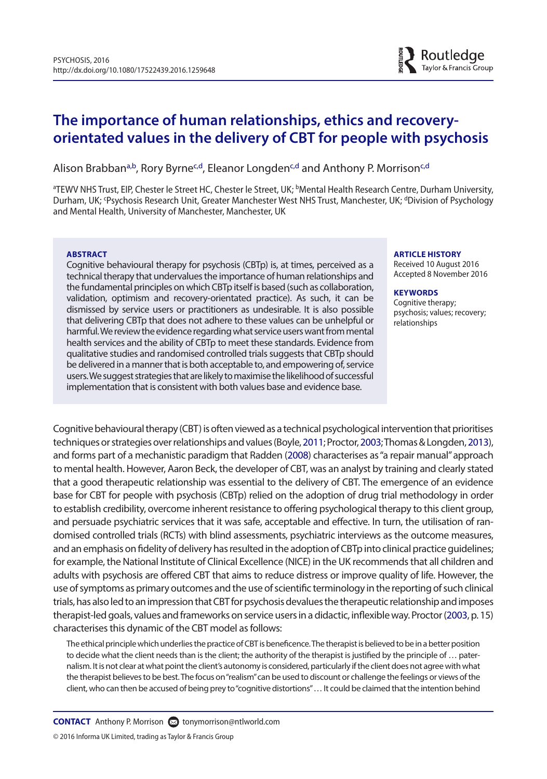# **The importance of human relationships, ethics and recoveryorientated values in the delivery of CBT for people with psychosis**

### Alison Brabban<sup>a,b</sup>, Rory Byrne<sup>[c](#page-1-2)[,d](#page-1-3)</sup>, Eleanor Longden<sup>c,d</sup> and Anthony P. Morrison<sup>c,d</sup>

<span id="page-1-3"></span><span id="page-1-2"></span><span id="page-1-1"></span><span id="page-1-0"></span><sup>a</sup>TEWV NHS Trust, EIP, Chester le Street HC, Chester le Street, UK; <sup>b</sup>Mental Health Research Centre, Durham University, Durham, UK; 'Psychosis Research Unit, Greater Manchester West NHS Trust, Manchester, UK; <sup>d</sup>Division of Psychology and Mental Health, University of Manchester, Manchester, UK

#### **ABSTRACT**

Cognitive behavioural therapy for psychosis (CBTp) is, at times, perceived as a technical therapy that undervalues the importance of human relationships and the fundamental principles on which CBTp itself is based (such as collaboration, validation, optimism and recovery-orientated practice). As such, it can be dismissed by service users or practitioners as undesirable. It is also possible that delivering CBTp that does not adhere to these values can be unhelpful or harmful. We review the evidence regarding what service users want from mental health services and the ability of CBTp to meet these standards. Evidence from qualitative studies and randomised controlled trials suggests that CBTp should be delivered in a manner that is both acceptable to, and empowering of, service users. We suggest strategies that are likely to maximise the likelihood of successful implementation that is consistent with both values base and evidence base.

# **ARTICLE HISTORY**

Received 10 August 2016 Accepted 8 November 2016

#### **KEYWORDS**

<span id="page-1-7"></span><span id="page-1-6"></span><span id="page-1-5"></span><span id="page-1-4"></span>Cognitive therapy; psychosis; values; recovery; relationships

Cognitive behavioural therapy (CBT) is often viewed as a technical psychological intervention that prioritises techniques or strategies over relationships and values (Boyle, [2011;](#page-9-0) Proctor, [2003;](#page-9-1) Thomas & Longden, [2013\)](#page-10-0), and forms part of a mechanistic paradigm that Radden [\(2008](#page-9-2)) characterises as "a repair manual" approach to mental health. However, Aaron Beck, the developer of CBT, was an analyst by training and clearly stated that a good therapeutic relationship was essential to the delivery of CBT. The emergence of an evidence base for CBT for people with psychosis (CBTp) relied on the adoption of drug trial methodology in order to establish credibility, overcome inherent resistance to offering psychological therapy to this client group, and persuade psychiatric services that it was safe, acceptable and effective. In turn, the utilisation of randomised controlled trials (RCTs) with blind assessments, psychiatric interviews as the outcome measures, and an emphasis on fidelity of delivery has resulted in the adoption of CBTp into clinical practice guidelines; for example, the National Institute of Clinical Excellence (NICE) in the UK recommends that all children and adults with psychosis are offered CBT that aims to reduce distress or improve quality of life. However, the use of symptoms as primary outcomes and the use of scientific terminology in the reporting of such clinical trials, has also led to an impression that CBT for psychosis devalues the therapeutic relationship and imposes therapist-led goals, values and frameworks on service users in a didactic, inflexible way. Proctor [\(2003,](#page-9-1) p. 15) characterises this dynamic of the CBT model as follows:

The ethical principle which underlies the practice of CBT is beneficence. The therapist is believed to be in a better position to decide what the client needs than is the client; the authority of the therapist is justified by the principle of ... paternalism. It is not clear at what point the client's autonomy is considered, particularly if the client does not agree with what the therapist believes to be best. The focus on "realism" can be used to discount or challenge the feelings or views of the client, who can then be accused of being prey to "cognitive distortions" … It could be claimed that the intention behind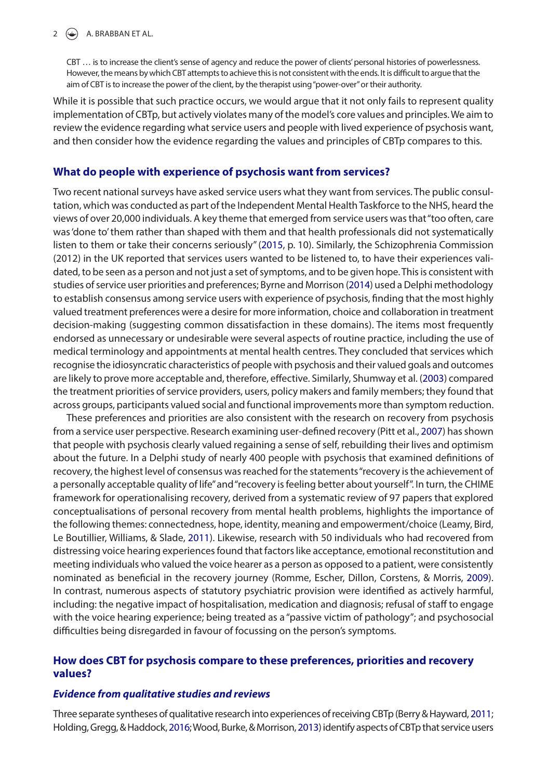#### 2  $\left(\rightarrow\right)$  A. BRABBAN ET AL.

CBT … is to increase the client's sense of agency and reduce the power of clients' personal histories of powerlessness. However, the means by which CBT attempts to achieve this is not consistent with the ends. It is difficult to argue that the aim of CBT is to increase the power of the client, by the therapist using "power-over" or their authority.

While it is possible that such practice occurs, we would argue that it not only fails to represent quality implementation of CBTp, but actively violates many of the model's core values and principles. We aim to review the evidence regarding what service users and people with lived experience of psychosis want, and then consider how the evidence regarding the values and principles of CBTp compares to this.

### **What do people with experience of psychosis want from services?**

<span id="page-2-4"></span><span id="page-2-1"></span>Two recent national surveys have asked service users what they want from services. The public consultation, which was conducted as part of the Independent Mental Health Taskforce to the NHS, heard the views of over 20,000 individuals. A key theme that emerged from service users was that "too often, care was 'done to' them rather than shaped with them and that health professionals did not systematically listen to them or take their concerns seriously" ([2015](#page-9-3), p. 10). Similarly, the Schizophrenia Commission (2012) in the UK reported that services users wanted to be listened to, to have their experiences validated, to be seen as a person and not just a set of symptoms, and to be given hope. This is consistent with studies of service user priorities and preferences; Byrne and Morrison ([2014\)](#page-9-4) used a Delphi methodology to establish consensus among service users with experience of psychosis, finding that the most highly valued treatment preferences were a desire for more information, choice and collaboration in treatment decision-making (suggesting common dissatisfaction in these domains). The items most frequently endorsed as unnecessary or undesirable were several aspects of routine practice, including the use of medical terminology and appointments at mental health centres. They concluded that services which recognise the idiosyncratic characteristics of people with psychosis and their valued goals and outcomes are likely to prove more acceptable and, therefore, effective. Similarly, Shumway et al. [\(2003\)](#page-10-1) compared the treatment priorities of service providers, users, policy makers and family members; they found that across groups, participants valued social and functional improvements more than symptom reduction.

<span id="page-2-7"></span><span id="page-2-5"></span><span id="page-2-3"></span>These preferences and priorities are also consistent with the research on recovery from psychosis from a service user perspective. Research examining user-defined recovery (Pitt et al., [2007](#page-9-5)) has shown that people with psychosis clearly valued regaining a sense of self, rebuilding their lives and optimism about the future. In a Delphi study of nearly 400 people with psychosis that examined definitions of recovery, the highest level of consensus was reached for the statements "recovery is the achievement of a personally acceptable quality of life" and "recovery is feeling better about yourself". In turn, the CHIME framework for operationalising recovery, derived from a systematic review of 97 papers that explored conceptualisations of personal recovery from mental health problems, highlights the importance of the following themes: connectedness, hope, identity, meaning and empowerment/choice (Leamy, Bird, Le Boutillier, Williams, & Slade, [2011](#page-9-6)). Likewise, research with 50 individuals who had recovered from distressing voice hearing experiences found that factors like acceptance, emotional reconstitution and meeting individuals who valued the voice hearer as a person as opposed to a patient, were consistently nominated as beneficial in the recovery journey (Romme, Escher, Dillon, Corstens, & Morris, [2009\)](#page-10-2). In contrast, numerous aspects of statutory psychiatric provision were identified as actively harmful, including: the negative impact of hospitalisation, medication and diagnosis; refusal of staff to engage with the voice hearing experience; being treated as a "passive victim of pathology"; and psychosocial difficulties being disregarded in favour of focussing on the person's symptoms.

# <span id="page-2-6"></span>**How does CBT for psychosis compare to these preferences, priorities and recovery values?**

#### *Evidence from qualitative studies and reviews*

<span id="page-2-8"></span><span id="page-2-2"></span><span id="page-2-0"></span>Three separate syntheses of qualitative research into experiences of receiving CBTp (Berry & Hayward, [2011](#page-9-7); Holding, Gregg, & Haddock, [2016](#page-9-8); Wood, Burke, & Morrison, [2013](#page-10-3)) identify aspects of CBTp that service users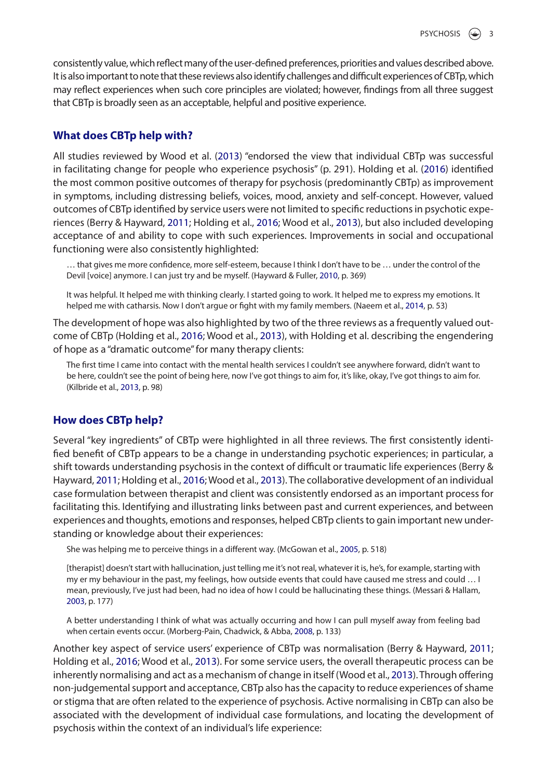consistently value, which reflect many of the user-defined preferences, priorities and values described above. It is also important to note that these reviews also identify challenges and difficult experiences of CBTp, which may reflect experiences when such core principles are violated; however, findings from all three suggest that CBTp is broadly seen as an acceptable, helpful and positive experience.

### **What does CBTp help with?**

All studies reviewed by Wood et al. [\(2013\)](#page-10-3) "endorsed the view that individual CBTp was successful in facilitating change for people who experience psychosis" (p. 291). Holding et al. [\(2016\)](#page-9-8) identified the most common positive outcomes of therapy for psychosis (predominantly CBTp) as improvement in symptoms, including distressing beliefs, voices, mood, anxiety and self-concept. However, valued outcomes of CBTp identified by service users were not limited to specific reductions in psychotic experiences (Berry & Hayward, [2011;](#page-9-7) Holding et al., [2016;](#page-9-8) Wood et al., [2013\)](#page-10-3), but also included developing acceptance of and ability to cope with such experiences. Improvements in social and occupational functioning were also consistently highlighted:

<span id="page-3-0"></span>… that gives me more confidence, more self-esteem, because I think I don't have to be … under the control of the Devil [voice] anymore. I can just try and be myself. (Hayward & Fuller, [2010,](#page-9-9) p. 369)

<span id="page-3-5"></span>It was helpful. It helped me with thinking clearly. I started going to work. It helped me to express my emotions. It helped me with catharsis. Now I don't argue or fight with my family members. (Naeem et al., [2014](#page-9-10), p. 53)

The development of hope was also highlighted by two of the three reviews as a frequently valued outcome of CBTp (Holding et al., [2016;](#page-9-8) Wood et al., [2013](#page-10-3)), with Holding et al. describing the engendering of hope as a "dramatic outcome" for many therapy clients:

<span id="page-3-1"></span>The first time I came into contact with the mental health services I couldn't see anywhere forward, didn't want to be here, couldn't see the point of being here, now I've got things to aim for, it's like, okay, I've got things to aim for. (Kilbride et al., [2013](#page-9-11), p. 98)

#### **How does CBTp help?**

Several "key ingredients" of CBTp were highlighted in all three reviews. The first consistently identified benefit of CBTp appears to be a change in understanding psychotic experiences; in particular, a shift towards understanding psychosis in the context of difficult or traumatic life experiences (Berry & Hayward, [2011](#page-9-7); Holding et al., [2016;](#page-9-8) Wood et al., [2013\)](#page-10-3). The collaborative development of an individual case formulation between therapist and client was consistently endorsed as an important process for facilitating this. Identifying and illustrating links between past and current experiences, and between experiences and thoughts, emotions and responses, helped CBTp clients to gain important new understanding or knowledge about their experiences:

<span id="page-3-2"></span>She was helping me to perceive things in a different way. (McGowan et al., [2005](#page-9-12), p. 518)

[therapist] doesn't start with hallucination, just telling me it's not real, whatever it is, he's, for example, starting with my er my behaviour in the past, my feelings, how outside events that could have caused me stress and could … I mean, previously, I've just had been, had no idea of how I could be hallucinating these things. (Messari & Hallam, [2003](#page-9-13), p. 177)

<span id="page-3-4"></span><span id="page-3-3"></span>A better understanding I think of what was actually occurring and how I can pull myself away from feeling bad when certain events occur. (Morberg-Pain, Chadwick, & Abba, [2008](#page-9-14), p. 133)

Another key aspect of service users' experience of CBTp was normalisation (Berry & Hayward, [2011](#page-9-7); Holding et al., [2016](#page-9-8); Wood et al., [2013\)](#page-10-3). For some service users, the overall therapeutic process can be inherently normalising and act as a mechanism of change in itself (Wood et al., [2013\)](#page-10-3). Through offering non-judgemental support and acceptance, CBTp also has the capacity to reduce experiences of shame or stigma that are often related to the experience of psychosis. Active normalising in CBTp can also be associated with the development of individual case formulations, and locating the development of psychosis within the context of an individual's life experience: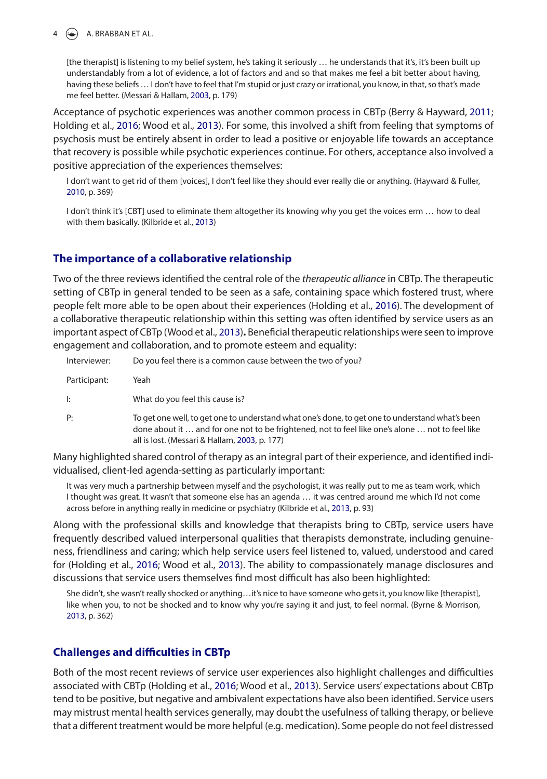#### 4  $\left(\rightarrow\right)$  A. BRABBAN ET AL.

[the therapist] is listening to my belief system, he's taking it seriously … he understands that it's, it's been built up understandably from a lot of evidence, a lot of factors and and so that makes me feel a bit better about having, having these beliefs ... I don't have to feel that I'm stupid or just crazy or irrational, you know, in that, so that's made me feel better. (Messari & Hallam, [2003](#page-9-13), p. 179)

Acceptance of psychotic experiences was another common process in CBTp (Berry & Hayward, [2011](#page-9-7); Holding et al., [2016;](#page-9-8) Wood et al., [2013](#page-10-3)). For some, this involved a shift from feeling that symptoms of psychosis must be entirely absent in order to lead a positive or enjoyable life towards an acceptance that recovery is possible while psychotic experiences continue. For others, acceptance also involved a positive appreciation of the experiences themselves:

I don't want to get rid of them [voices], I don't feel like they should ever really die or anything. (Hayward & Fuller, [2010](#page-9-9), p. 369)

I don't think it's [CBT] used to eliminate them altogether its knowing why you get the voices erm … how to deal with them basically. (Kilbride et al., [2013\)](#page-9-11)

#### **The importance of a collaborative relationship**

Two of the three reviews identified the central role of the *therapeutic alliance* in CBTp. The therapeutic setting of CBTp in general tended to be seen as a safe, containing space which fostered trust, where people felt more able to be open about their experiences (Holding et al., [2016](#page-9-8)). The development of a collaborative therapeutic relationship within this setting was often identified by service users as an important aspect of CBTp (Wood et al., [2013\)](#page-10-3)**.** Beneficial therapeutic relationships were seen to improve engagement and collaboration, and to promote esteem and equality:

| Interviewer: | Do you feel there is a common cause between the two of you?                                                                                                                                                                                         |
|--------------|-----------------------------------------------------------------------------------------------------------------------------------------------------------------------------------------------------------------------------------------------------|
| Participant: | Yeah                                                                                                                                                                                                                                                |
| -l:          | What do you feel this cause is?                                                                                                                                                                                                                     |
| P:           | To get one well, to get one to understand what one's done, to get one to understand what's been<br>done about it  and for one not to be frightened, not to feel like one's alone  not to feel like<br>all is lost. (Messari & Hallam, 2003, p. 177) |

Many highlighted shared control of therapy as an integral part of their experience, and identified individualised, client-led agenda-setting as particularly important:

It was very much a partnership between myself and the psychologist, it was really put to me as team work, which I thought was great. It wasn't that someone else has an agenda … it was centred around me which I'd not come across before in anything really in medicine or psychiatry (Kilbride et al., [2013,](#page-9-11) p. 93)

Along with the professional skills and knowledge that therapists bring to CBTp, service users have frequently described valued interpersonal qualities that therapists demonstrate, including genuineness, friendliness and caring; which help service users feel listened to, valued, understood and cared for (Holding et al., [2016](#page-9-8); Wood et al., [2013\)](#page-10-3). The ability to compassionately manage disclosures and discussions that service users themselves find most difficult has also been highlighted:

<span id="page-4-0"></span>She didn't, she wasn't really shocked or anything…it's nice to have someone who gets it, you know like [therapist], like when you, to not be shocked and to know why you're saying it and just, to feel normal. (Byrne & Morrison, [2013](#page-9-15), p. 362)

#### **Challenges and difficulties in CBTp**

Both of the most recent reviews of service user experiences also highlight challenges and difficulties associated with CBTp (Holding et al., [2016;](#page-9-8) Wood et al., [2013\)](#page-10-3). Service users' expectations about CBTp tend to be positive, but negative and ambivalent expectations have also been identified. Service users may mistrust mental health services generally, may doubt the usefulness of talking therapy, or believe that a different treatment would be more helpful (e.g. medication). Some people do not feel distressed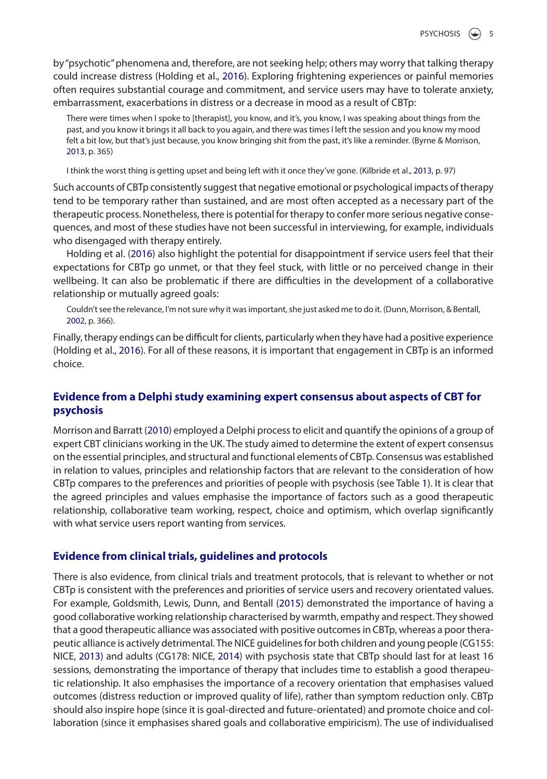by "psychotic" phenomena and, therefore, are not seeking help; others may worry that talking therapy could increase distress (Holding et al., [2016](#page-9-8)). Exploring frightening experiences or painful memories often requires substantial courage and commitment, and service users may have to tolerate anxiety, embarrassment, exacerbations in distress or a decrease in mood as a result of CBTp:

There were times when I spoke to [therapist], you know, and it's, you know, I was speaking about things from the past, and you know it brings it all back to you again, and there was times I left the session and you know my mood felt a bit low, but that's just because, you know bringing shit from the past, it's like a reminder. (Byrne & Morrison, [2013](#page-9-15), p. 365)

I think the worst thing is getting upset and being left with it once they've gone. (Kilbride et al., [2013,](#page-9-11) p. 97)

Such accounts of CBTp consistently suggest that negative emotional or psychological impacts of therapy tend to be temporary rather than sustained, and are most often accepted as a necessary part of the therapeutic process. Nonetheless, there is potential for therapy to confer more serious negative consequences, and most of these studies have not been successful in interviewing, for example, individuals who disengaged with therapy entirely.

Holding et al. ([2016](#page-9-8)) also highlight the potential for disappointment if service users feel that their expectations for CBTp go unmet, or that they feel stuck, with little or no perceived change in their wellbeing. It can also be problematic if there are difficulties in the development of a collaborative relationship or mutually agreed goals:

<span id="page-5-0"></span>Couldn't see the relevance, I'm not sure why it was important, she just asked me to do it. (Dunn, Morrison, & Bentall, [2002](#page-9-16), p. 366).

Finally, therapy endings can be difficult for clients, particularly when they have had a positive experience (Holding et al., [2016\)](#page-9-8). For all of these reasons, it is important that engagement in CBTp is an informed choice.

# **Evidence from a Delphi study examining expert consensus about aspects of CBT for psychosis**

<span id="page-5-2"></span>Morrison and Barratt ([2010](#page-9-17)) employed a Delphi process to elicit and quantify the opinions of a group of expert CBT clinicians working in the UK. The study aimed to determine the extent of expert consensus on the essential principles, and structural and functional elements of CBTp. Consensus was established in relation to values, principles and relationship factors that are relevant to the consideration of how CBTp compares to the preferences and priorities of people with psychosis (see Table [1\)](#page-6-0). It is clear that the agreed principles and values emphasise the importance of factors such as a good therapeutic relationship, collaborative team working, respect, choice and optimism, which overlap significantly with what service users report wanting from services.

#### **Evidence from clinical trials, guidelines and protocols**

<span id="page-5-4"></span><span id="page-5-3"></span><span id="page-5-1"></span>There is also evidence, from clinical trials and treatment protocols, that is relevant to whether or not CBTp is consistent with the preferences and priorities of service users and recovery orientated values. For example, Goldsmith, Lewis, Dunn, and Bentall ([2015](#page-9-18)) demonstrated the importance of having a good collaborative working relationship characterised by warmth, empathy and respect. They showed that a good therapeutic alliance was associated with positive outcomes in CBTp, whereas a poor therapeutic alliance is actively detrimental. The NICE guidelines for both children and young people (CG155: NICE, [2013\)](#page-9-19) and adults (CG178: NICE, [2014](#page-9-20)) with psychosis state that CBTp should last for at least 16 sessions, demonstrating the importance of therapy that includes time to establish a good therapeutic relationship. It also emphasises the importance of a recovery orientation that emphasises valued outcomes (distress reduction or improved quality of life), rather than symptom reduction only. CBTp should also inspire hope (since it is goal-directed and future-orientated) and promote choice and collaboration (since it emphasises shared goals and collaborative empiricism). The use of individualised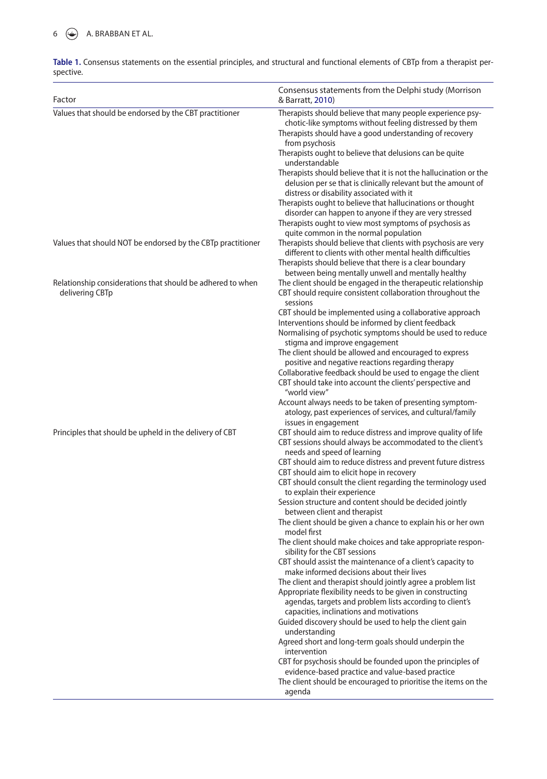# 6  $\left(\frac{1}{2}\right)$  A. BRABBAN ET AL.

| Factor                                                                        | Consensus statements from the Delphi study (Morrison<br>& Barratt, 2010)                                                                                                                                                                                                                                                                                                                                                                                                                                                         |
|-------------------------------------------------------------------------------|----------------------------------------------------------------------------------------------------------------------------------------------------------------------------------------------------------------------------------------------------------------------------------------------------------------------------------------------------------------------------------------------------------------------------------------------------------------------------------------------------------------------------------|
| Values that should be endorsed by the CBT practitioner                        | Therapists should believe that many people experience psy-<br>chotic-like symptoms without feeling distressed by them<br>Therapists should have a good understanding of recovery<br>from psychosis<br>Therapists ought to believe that delusions can be quite<br>understandable<br>Therapists should believe that it is not the hallucination or the<br>delusion per se that is clinically relevant but the amount of<br>distress or disability associated with it<br>Therapists ought to believe that hallucinations or thought |
|                                                                               | disorder can happen to anyone if they are very stressed<br>Therapists ought to view most symptoms of psychosis as                                                                                                                                                                                                                                                                                                                                                                                                                |
| Values that should NOT be endorsed by the CBTp practitioner                   | quite common in the normal population<br>Therapists should believe that clients with psychosis are very<br>different to clients with other mental health difficulties<br>Therapists should believe that there is a clear boundary                                                                                                                                                                                                                                                                                                |
| Relationship considerations that should be adhered to when<br>delivering CBTp | between being mentally unwell and mentally healthy<br>The client should be engaged in the therapeutic relationship<br>CBT should require consistent collaboration throughout the<br>sessions                                                                                                                                                                                                                                                                                                                                     |
|                                                                               | CBT should be implemented using a collaborative approach<br>Interventions should be informed by client feedback<br>Normalising of psychotic symptoms should be used to reduce<br>stigma and improve engagement<br>The client should be allowed and encouraged to express<br>positive and negative reactions regarding therapy                                                                                                                                                                                                    |
|                                                                               | Collaborative feedback should be used to engage the client<br>CBT should take into account the clients' perspective and<br>"world view"                                                                                                                                                                                                                                                                                                                                                                                          |
|                                                                               | Account always needs to be taken of presenting symptom-<br>atology, past experiences of services, and cultural/family<br>issues in engagement                                                                                                                                                                                                                                                                                                                                                                                    |
| Principles that should be upheld in the delivery of CBT                       | CBT should aim to reduce distress and improve quality of life<br>CBT sessions should always be accommodated to the client's<br>needs and speed of learning<br>CBT should aim to reduce distress and prevent future distress<br>CBT should aim to elicit hope in recovery<br>CBT should consult the client regarding the terminology used<br>to explain their experience                                                                                                                                                          |
|                                                                               | Session structure and content should be decided jointly<br>between client and therapist<br>The client should be given a chance to explain his or her own                                                                                                                                                                                                                                                                                                                                                                         |
|                                                                               | model first<br>The client should make choices and take appropriate respon-<br>sibility for the CBT sessions                                                                                                                                                                                                                                                                                                                                                                                                                      |
|                                                                               | CBT should assist the maintenance of a client's capacity to<br>make informed decisions about their lives<br>The client and therapist should jointly agree a problem list                                                                                                                                                                                                                                                                                                                                                         |
|                                                                               | Appropriate flexibility needs to be given in constructing<br>agendas, targets and problem lists according to client's<br>capacities, inclinations and motivations<br>Guided discovery should be used to help the client gain                                                                                                                                                                                                                                                                                                     |
|                                                                               | understanding<br>Agreed short and long-term goals should underpin the<br>intervention                                                                                                                                                                                                                                                                                                                                                                                                                                            |
|                                                                               | CBT for psychosis should be founded upon the principles of<br>evidence-based practice and value-based practice<br>The client should be encouraged to prioritise the items on the                                                                                                                                                                                                                                                                                                                                                 |
|                                                                               | agenda                                                                                                                                                                                                                                                                                                                                                                                                                                                                                                                           |

<span id="page-6-0"></span>**Table 1.** Consensus statements on the essential principles, and structural and functional elements of CBTp from a therapist perspective.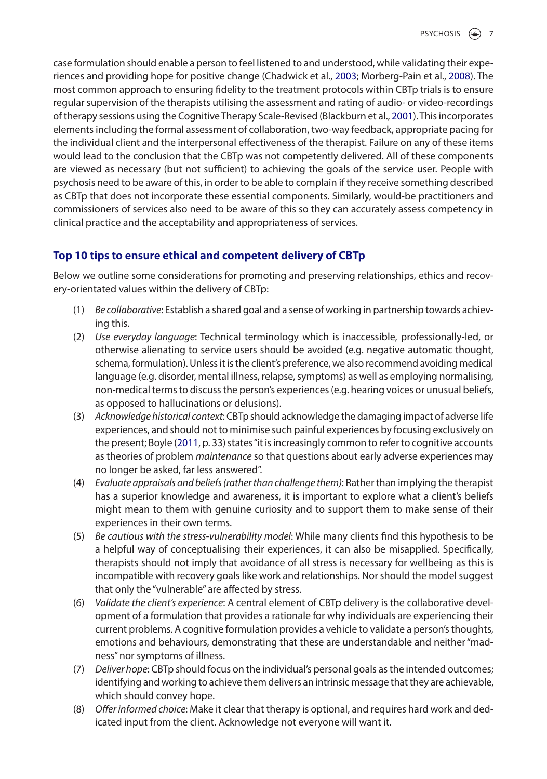<span id="page-7-1"></span><span id="page-7-0"></span>case formulation should enable a person to feel listened to and understood, while validating their experiences and providing hope for positive change (Chadwick et al., [2003;](#page-9-21) Morberg-Pain et al., [2008](#page-9-14)). The most common approach to ensuring fidelity to the treatment protocols within CBTp trials is to ensure regular supervision of the therapists utilising the assessment and rating of audio- or video-recordings of therapy sessions using the Cognitive Therapy Scale-Revised (Blackburn et al., [2001\)](#page-9-22). This incorporates elements including the formal assessment of collaboration, two-way feedback, appropriate pacing for the individual client and the interpersonal effectiveness of the therapist. Failure on any of these items would lead to the conclusion that the CBTp was not competently delivered. All of these components are viewed as necessary (but not sufficient) to achieving the goals of the service user. People with psychosis need to be aware of this, in order to be able to complain if they receive something described as CBTp that does not incorporate these essential components. Similarly, would-be practitioners and commissioners of services also need to be aware of this so they can accurately assess competency in clinical practice and the acceptability and appropriateness of services.

# **Top 10 tips to ensure ethical and competent delivery of CBTp**

Below we outline some considerations for promoting and preserving relationships, ethics and recovery-orientated values within the delivery of CBTp:

- (1) *Be collaborative*: Establish a shared goal and a sense of working in partnership towards achieving this.
- (2) *Use everyday language*: Technical terminology which is inaccessible, professionally-led, or otherwise alienating to service users should be avoided (e.g. negative automatic thought, schema, formulation). Unless it is the client's preference, we also recommend avoiding medical language (e.g. disorder, mental illness, relapse, symptoms) as well as employing normalising, non-medical terms to discuss the person's experiences (e.g. hearing voices or unusual beliefs, as opposed to hallucinations or delusions).
- (3) *Acknowledge historical context*: CBTp should acknowledge the damaging impact of adverse life experiences, and should not to minimise such painful experiences by focusing exclusively on the present; Boyle ([2011](#page-9-0), p. 33) states "it is increasingly common to refer to cognitive accounts as theories of problem *maintenance* so that questions about early adverse experiences may no longer be asked, far less answered".
- (4) *Evaluate appraisals and beliefs (rather than challenge them)*: Rather than implying the therapist has a superior knowledge and awareness, it is important to explore what a client's beliefs might mean to them with genuine curiosity and to support them to make sense of their experiences in their own terms.
- (5) *Be cautious with the stress*-*vulnerability model*: While many clients find this hypothesis to be a helpful way of conceptualising their experiences, it can also be misapplied. Specifically, therapists should not imply that avoidance of all stress is necessary for wellbeing as this is incompatible with recovery goals like work and relationships. Nor should the model suggest that only the "vulnerable" are affected by stress.
- (6) *Validate the client's experience*: A central element of CBTp delivery is the collaborative development of a formulation that provides a rationale for why individuals are experiencing their current problems. A cognitive formulation provides a vehicle to validate a person's thoughts, emotions and behaviours, demonstrating that these are understandable and neither "madness" nor symptoms of illness.
- (7) *Deliver hope*: CBTp should focus on the individual's personal goals as the intended outcomes; identifying and working to achieve them delivers an intrinsic message that they are achievable, which should convey hope.
- (8) *Offer informed choice*: Make it clear that therapy is optional, and requires hard work and dedicated input from the client. Acknowledge not everyone will want it.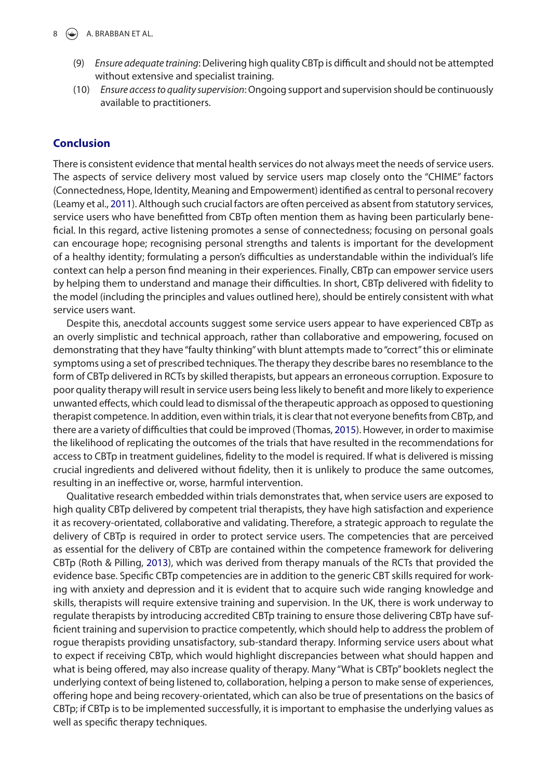#### $\circ$  A. BRABBAN ET AL.

- (9) *Ensure adequate training*: Delivering high quality CBTp is difficult and should not be attempted without extensive and specialist training.
- (10) *Ensure access to quality supervision*: Ongoing support and supervision should be continuously available to practitioners.

#### **Conclusion**

There is consistent evidence that mental health services do not always meet the needs of service users. The aspects of service delivery most valued by service users map closely onto the "CHIME" factors (Connectedness, Hope, Identity, Meaning and Empowerment) identified as central to personal recovery (Leamy et al., [2011\)](#page-9-6). Although such crucial factors are often perceived as absent from statutory services, service users who have benefitted from CBTp often mention them as having been particularly beneficial. In this regard, active listening promotes a sense of connectedness; focusing on personal goals can encourage hope; recognising personal strengths and talents is important for the development of a healthy identity; formulating a person's difficulties as understandable within the individual's life context can help a person find meaning in their experiences. Finally, CBTp can empower service users by helping them to understand and manage their difficulties. In short, CBTp delivered with fidelity to the model (including the principles and values outlined here), should be entirely consistent with what service users want.

Despite this, anecdotal accounts suggest some service users appear to have experienced CBTp as an overly simplistic and technical approach, rather than collaborative and empowering, focused on demonstrating that they have "faulty thinking" with blunt attempts made to "correct" this or eliminate symptoms using a set of prescribed techniques. The therapy they describe bares no resemblance to the form of CBTp delivered in RCTs by skilled therapists, but appears an erroneous corruption. Exposure to poor quality therapy will result in service users being less likely to benefit and more likely to experience unwanted effects, which could lead to dismissal of the therapeutic approach as opposed to questioning therapist competence. In addition, even within trials, it is clear that not everyone benefits from CBTp, and there are a variety of difficulties that could be improved (Thomas, [2015](#page-10-4)). However, in order to maximise the likelihood of replicating the outcomes of the trials that have resulted in the recommendations for access to CBTp in treatment guidelines, fidelity to the model is required. If what is delivered is missing crucial ingredients and delivered without fidelity, then it is unlikely to produce the same outcomes, resulting in an ineffective or, worse, harmful intervention.

<span id="page-8-1"></span><span id="page-8-0"></span>Qualitative research embedded within trials demonstrates that, when service users are exposed to high quality CBTp delivered by competent trial therapists, they have high satisfaction and experience it as recovery-orientated, collaborative and validating. Therefore, a strategic approach to regulate the delivery of CBTp is required in order to protect service users. The competencies that are perceived as essential for the delivery of CBTp are contained within the competence framework for delivering CBTp (Roth & Pilling, [2013\)](#page-10-5), which was derived from therapy manuals of the RCTs that provided the evidence base. Specific CBTp competencies are in addition to the generic CBT skills required for working with anxiety and depression and it is evident that to acquire such wide ranging knowledge and skills, therapists will require extensive training and supervision. In the UK, there is work underway to regulate therapists by introducing accredited CBTp training to ensure those delivering CBTp have sufficient training and supervision to practice competently, which should help to address the problem of rogue therapists providing unsatisfactory, sub-standard therapy. Informing service users about what to expect if receiving CBTp, which would highlight discrepancies between what should happen and what is being offered, may also increase quality of therapy. Many "What is CBTp" booklets neglect the underlying context of being listened to, collaboration, helping a person to make sense of experiences, offering hope and being recovery-orientated, which can also be true of presentations on the basics of CBTp; if CBTp is to be implemented successfully, it is important to emphasise the underlying values as well as specific therapy techniques.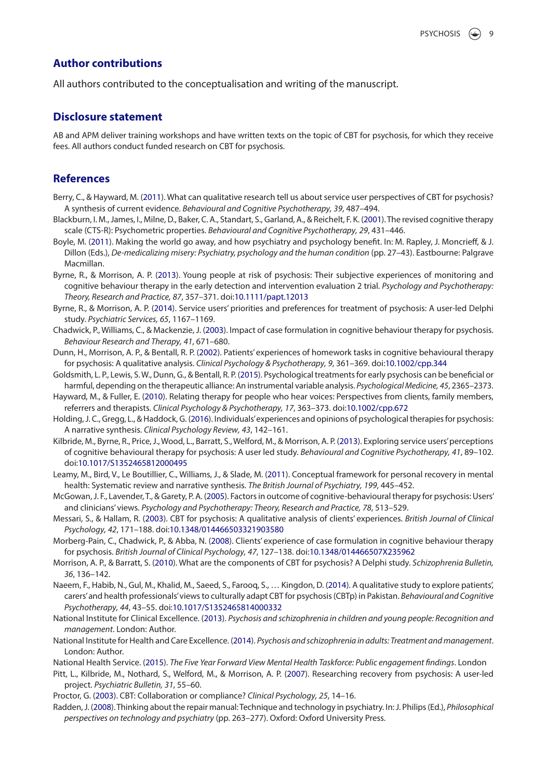#### **Author contributions**

All authors contributed to the conceptualisation and writing of the manuscript.

#### **Disclosure statement**

AB and APM deliver training workshops and have written texts on the topic of CBT for psychosis, for which they receive fees. All authors conduct funded research on CBT for psychosis.

#### **References**

- <span id="page-9-7"></span>Berry, C., & Hayward, M. [\(2011](#page-2-0)). What can qualitative research tell us about service user perspectives of CBT for psychosis? A synthesis of current evidence. *Behavioural and Cognitive Psychotherapy, 39*, 487–494.
- <span id="page-9-22"></span>Blackburn, I. M., James, I., Milne, D., Baker, C. A., Standart, S., Garland, A., & Reichelt, F. K. [\(2001](#page-7-0)). The revised cognitive therapy scale (CTS-R): Psychometric properties. *Behavioural and Cognitive Psychotherapy, 29*, 431–446.
- <span id="page-9-0"></span>Boyle, M. [\(2011\)](#page-1-4). Making the world go away, and how psychiatry and psychology benefit. In: M. Rapley, J. Moncrieff, & J. Dillon (Eds.), *De-medicalizing misery: Psychiatry, psychology and the human condition* (pp. 27–43). Eastbourne: Palgrave Macmillan.
- <span id="page-9-15"></span>Byrne, R., & Morrison, A. P. [\(2013\)](#page-4-0). Young people at risk of psychosis: Their subjective experiences of monitoring and cognitive behaviour therapy in the early detection and intervention evaluation 2 trial. *Psychology and Psychotherapy: Theory, Research and Practice, 87*, 357–371. doi[:10.1111/papt.12013](http://dx.doi.org/10.1111/papt.12013)
- <span id="page-9-4"></span>Byrne, R., & Morrison, A. P. [\(2014](#page-2-1)). Service users' priorities and preferences for treatment of psychosis: A user-led Delphi study. *Psychiatric Services, 65*, 1167–1169.
- <span id="page-9-21"></span>Chadwick, P., Williams, C., & Mackenzie, J. [\(2003\)](#page-7-1). Impact of case formulation in cognitive behaviour therapy for psychosis. *Behaviour Research and Therapy, 41*, 671–680.
- <span id="page-9-16"></span>Dunn, H., Morrison, A. P., & Bentall, R. P. ([2002](#page-5-0)). Patients' experiences of homework tasks in cognitive behavioural therapy for psychosis: A qualitative analysis. *Clinical Psychology & Psychotherapy, 9*, 361–369. doi:[10.1002/cpp.344](http://dx.doi.org/10.1002/cpp.344)
- <span id="page-9-18"></span>Goldsmith, L. P., Lewis, S. W., Dunn, G., & Bentall, R. P. ([2015\)](#page-5-1). Psychological treatments for early psychosis can be beneficial or harmful, depending on the therapeutic alliance: An instrumental variable analysis. *Psychological Medicine, 45*, 2365–2373.
- <span id="page-9-9"></span>Hayward, M., & Fuller, E. [\(2010\)](#page-3-0). Relating therapy for people who hear voices: Perspectives from clients, family members, referrers and therapists. *Clinical Psychology & Psychotherapy, 17*, 363–373. doi:[10.1002/cpp.672](http://dx.doi.org/10.1002/cpp.672)
- <span id="page-9-8"></span>Holding, J. C., Gregg, L., & Haddock, G. [\(2016](#page-2-2)). Individuals' experiences and opinions of psychological therapies for psychosis: A narrative synthesis. *Clinical Psychology Review, 43*, 142–161.
- <span id="page-9-11"></span>Kilbride, M., Byrne, R., Price, J., Wood, L., Barratt, S., Welford, M., & Morrison, A. P. [\(2013\)](#page-3-1). Exploring service users' perceptions of cognitive behavioural therapy for psychosis: A user led study. *Behavioural and Cognitive Psychotherapy, 41*, 89–102. doi[:10.1017/S1352465812000495](http://dx.doi.org/10.1017/S1352465812000495)
- <span id="page-9-6"></span>Leamy, M., Bird, V., Le Boutillier, C., Williams, J., & Slade, M. [\(2011\)](#page-2-3). Conceptual framework for personal recovery in mental health: Systematic review and narrative synthesis. *The British Journal of Psychiatry, 199*, 445–452.
- <span id="page-9-12"></span>McGowan, J. F., Lavender, T., & Garety, P. A. [\(2005\)](#page-3-2). Factors in outcome of cognitive-behavioural therapy for psychosis: Users' and clinicians' views. *Psychology and Psychotherapy: Theory, Research and Practice, 78*, 513–529.
- <span id="page-9-13"></span>Messari, S., & Hallam, R. ([2003](#page-3-3)). CBT for psychosis: A qualitative analysis of clients' experiences. *British Journal of Clinical Psychology, 42*, 171–188. doi[:10.1348/014466503321903580](http://dx.doi.org/10.1348/014466503321903580)
- <span id="page-9-14"></span>Morberg-Pain, C., Chadwick, P., & Abba, N. [\(2008\)](#page-3-4). Clients' experience of case formulation in cognitive behaviour therapy for psychosis. *British Journal of Clinical Psychology, 47*, 127–138. doi[:10.1348/014466507X235962](http://dx.doi.org/10.1348/014466507X235962)
- <span id="page-9-17"></span>Morrison, A. P., & Barratt, S. ([2010](#page-5-2)). What are the components of CBT for psychosis? A Delphi study. *Schizophrenia Bulletin, 36*, 136–142.
- <span id="page-9-10"></span>Naeem, F., Habib, N., Gul, M., Khalid, M., Saeed, S., Farooq, S., … Kingdon, D. [\(2014](#page-3-5)). A qualitative study to explore patients', carers' and health professionals' views to culturally adapt CBT for psychosis (CBTp) in Pakistan. *Behavioural and Cognitive Psychotherapy, 44*, 43–55. doi:[10.1017/S1352465814000332](http://dx.doi.org/10.1017/S1352465814000332)
- <span id="page-9-19"></span>National Institute for Clinical Excellence. ([2013](#page-5-3)). *Psychosis and schizophrenia in children and young people: Recognition and management*. London: Author.
- <span id="page-9-20"></span>National Institute for Health and Care Excellence. [\(2014\)](#page-5-4). *Psychosis and schizophrenia in adults: Treatment and management*. London: Author.

<span id="page-9-3"></span>National Health Service. [\(2015\)](#page-2-4). *The Five Year Forward View Mental Health Taskforce: Public engagement findings*. London

- <span id="page-9-5"></span>Pitt, L., Kilbride, M., Nothard, S., Welford, M., & Morrison, A. P. ([2007](#page-2-5)). Researching recovery from psychosis: A user-led project. *Psychiatric Bulletin, 31*, 55–60.
- <span id="page-9-1"></span>Proctor, G. [\(2003](#page-1-5)). CBT: Collaboration or compliance? *Clinical Psychology, 25*, 14–16.
- <span id="page-9-2"></span>Radden, J. [\(2008](#page-1-6)). Thinking about the repair manual: Technique and technology in psychiatry. In: J. Philips (Ed.), *Philosophical perspectives on technology and psychiatry* (pp. 263–277). Oxford: Oxford University Press.